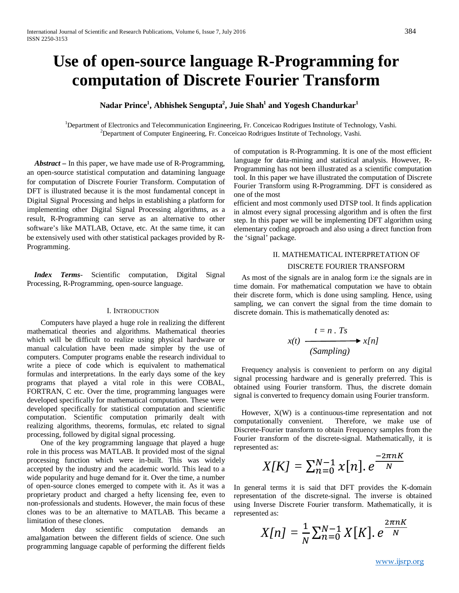# **Use of open-source language R-Programming for computation of Discrete Fourier Transform**

 $\mathbf{N}$ adar Prince $^1$ , Abhishek Sengupta $^2$ , Juie Shah $^1$  and  $\mathbf{Y}$ ogesh Chandurkar $^1$ 

<sup>1</sup>Department of Electronics and Telecommunication Engineering, Fr. Conceicao Rodrigues Institute of Technology, Vashi. <sup>2</sup>Department of Computer Engineering, Fr. Conceicao Rodrigues Institute of Technology, Vashi.

 *Abstract* **–** In this paper, we have made use of R-Programming, an open-source statistical computation and datamining language for computation of Discrete Fourier Transform. Computation of DFT is illustrated because it is the most fundamental concept in Digital Signal Processing and helps in establishing a platform for implementing other Digital Signal Processing algorithms, as a result, R-Programming can serve as an alternative to other software's like MATLAB, Octave, etc. At the same time, it can be extensively used with other statistical packages provided by R-Programming.

 *Index Terms*- Scientific computation, Digital Signal Processing, R-Programming, open-source language.

#### I. INTRODUCTION

Computers have played a huge role in realizing the different mathematical theories and algorithms. Mathematical theories which will be difficult to realize using physical hardware or manual calculation have been made simpler by the use of computers. Computer programs enable the research individual to write a piece of code which is equivalent to mathematical formulas and interpretations. In the early days some of the key programs that played a vital role in this were COBAL, FORTRAN, C etc. Over the time, programming languages were developed specifically for mathematical computation. These were developed specifically for statistical computation and scientific computation. Scientific computation primarily dealt with realizing algorithms, theorems, formulas, etc related to signal processing, followed by digital signal processing.

One of the key programming language that played a huge role in this process was MATLAB. It provided most of the signal processing function which were in-built. This was widely accepted by the industry and the academic world. This lead to a wide popularity and huge demand for it. Over the time, a number of open-source clones emerged to compete with it. As it was a proprietary product and charged a hefty licensing fee, even to non-professionals and students. However, the main focus of these clones was to be an alternative to MATLAB. This became a limitation of these clones.

Modern day scientific computation demands an amalgamation between the different fields of science. One such programming language capable of performing the different fields of computation is R-Programming. It is one of the most efficient language for data-mining and statistical analysis. However, R-Programming has not been illustrated as a scientific computation tool. In this paper we have illustrated the computation of Discrete Fourier Transform using R-Programming. DFT is considered as one of the most

efficient and most commonly used DTSP tool. It finds application in almost every signal processing algorithm and is often the first step. In this paper we will be implementing DFT algorithm using elementary coding approach and also using a direct function from the 'signal' package.

#### II. MATHEMATICAL INTERPRETATION OF

#### DISCRETE FOURIER TRANSFORM

 As most of the signals are in analog form i:e the signals are in time domain. For mathematical computation we have to obtain their discrete form, which is done using sampling. Hence, using sampling, we can convert the signal from the time domain to discrete domain. This is mathematically denoted as:

$$
x(t) \xrightarrow{t=n \cdot Ts} x[n]
$$
\n(Sampling)

 Frequency analysis is convenient to perform on any digital signal processing hardware and is generally preferred. This is obtained using Fourier transform. Thus, the discrete domain signal is converted to frequency domain using Fourier transform.

 However, X(W) is a continuous-time representation and not computationally convenient. Therefore, we make use of Discrete-Fourier transform to obtain Frequency samples from the Fourier transform of the discrete-signal. Mathematically, it is represented as:

$$
X[K] = \sum_{n=0}^{N-1} x[n]. e^{\frac{-2\pi nK}{N}}
$$

In general terms it is said that DFT provides the K-domain representation of the discrete-signal. The inverse is obtained using Inverse Discrete Fourier transform. Mathematically, it is represented as:

$$
X[n] = \frac{1}{N} \sum_{n=0}^{N-1} X[K]. e^{\frac{2\pi nK}{N}}
$$

[www.ijsrp.org](http://ijsrp.org/)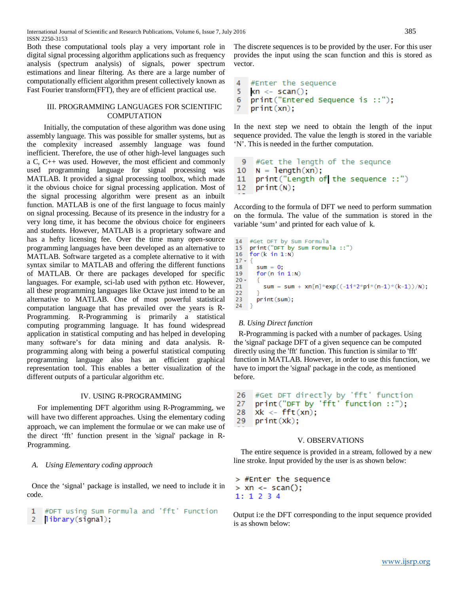Both these computational tools play a very important role in digital signal processing algorithm applications such as frequency analysis (spectrum analysis) of signals, power spectrum estimations and linear filtering. As there are a large number of computationally efficient algorithm present collectively known as Fast Fourier transform(FFT), they are of efficient practical use.

## III. PROGRAMMING LANGUAGES FOR SCIENTIFIC COMPUTATION

Initially, the computation of these algorithm was done using assembly language. This was possible for smaller systems, but as the complexity increased assembly language was found inefficient. Therefore, the use of other high-level languages such a C, C++ was used. However, the most efficient and commonly used programming language for signal processing was MATLAB. It provided a signal processing toolbox, which made it the obvious choice for signal processing application. Most of the signal processing algorithm were present as an inbuilt function. MATLAB is one of the first language to focus mainly on signal processing. Because of its presence in the industry for a very long time, it has become the obvious choice for engineers and students. However, MATLAB is a proprietary software and has a hefty licensing fee. Over the time many open-source programming languages have been developed as an alternative to MATLAB. Software targeted as a complete alternative to it with syntax similar to MATLAB and offering the different functions of MATLAB. Or there are packages developed for specific languages. For example, sci-lab used with python etc. However, all these programming languages like Octave just intend to be an alternative to MATLAB. One of most powerful statistical computation language that has prevailed over the years is R-Programming. R-Programming is primarily a statistical computing programming language. It has found widespread application in statistical computing and has helped in developing many software's for data mining and data analysis. Rprogramming along with being a powerful statistical computing programming language also has an efficient graphical representation tool. This enables a better visualization of the different outputs of a particular algorithm etc.

## IV. USING R-PROGRAMMING

For implementing DFT algorithm using R-Programming, we will have two different approaches. Using the elementary coding approach, we can implement the formulae or we can make use of the direct 'fft' function present in the 'signal' package in R-Programming.

#### *A. Using Elementary coding approach*

Once the 'signal' package is installed, we need to include it in code.

```
1 #DFT using Sum Formula and 'fft' Function
2 library(signal);
```
The discrete sequences is to be provided by the user. For this user provides the input using the scan function and this is stored as vector.

```
4
   #Enter the sequence
5
   xn \le scan();
   print ("Entered Sequence is ::");
6
7 -print(xn);
```
In the next step we need to obtain the length of the input sequence provided. The value the length is stored in the variable 'N'. This is needed in the further computation.

```
9
     #Get the length of the sequnce
10<sup>°</sup>N = \text{length}(xn);11print ("Length of the sequence ::")
12<sup>2</sup>print(N);
```
According to the formula of DFT we need to perform summation on the formula. The value of the summation is stored in the variable 'sum' and printed for each value of k.

```
14#Get DFT by Sum Formula
15print("DFT by Sum Formula ::")
16<sup>1</sup>for (k in 1:N)17 - {18
      sum = 0;
19
      for(n in 1:N)20 -sum = sum + xn[n]*exp((-1i*2*pi*(n-1)*(k-1))/N);
2122
23
      print(sum);
24 }
```
#### *B. Using Direct function*

R-Programming is packed with a number of packages. Using the 'signal' package DFT of a given sequence can be computed directly using the 'fft' function. This function is similar to 'fft' function in MATLAB. However, in order to use this function, we have to import the 'signal' package in the code, as mentioned before.

```
26
    #Get DFT directly by 'fft' function
    print("DFT by 'fft' function ::");
27
28
    x^2 - fft(xn);
```

```
29
    print(xk);
```
#### V. OBSERVATIONS

 The entire sequence is provided in a stream, followed by a new line stroke. Input provided by the user is as shown below:

```
> #Enter the sequence
> xn \lt- scan();
1: 1 2 3 4
```
Output i:e the DFT corresponding to the input sequence provided is as shown below: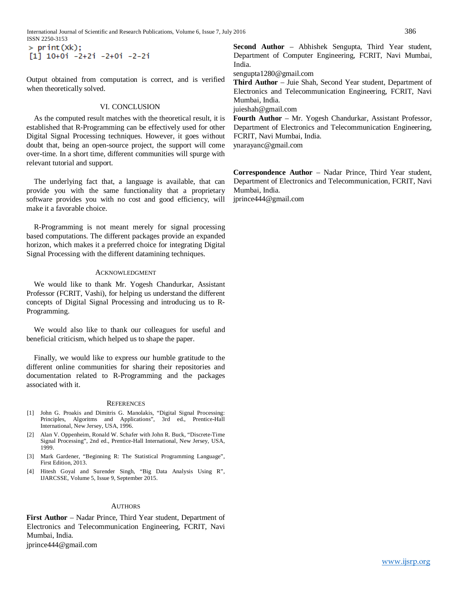International Journal of Scientific and Research Publications, Volume 6, Issue 7, July 2016 386 ISSN 2250-3153

 $>$  print  $(xk)$ ;  $[1]$  10+0i -2+2i -2+0i -2-2i

Output obtained from computation is correct, and is verified when theoretically solved.

## VI. CONCLUSION

As the computed result matches with the theoretical result, it is established that R-Programming can be effectively used for other Digital Signal Processing techniques. However, it goes without doubt that, being an open-source project, the support will come over-time. In a short time, different communities will spurge with relevant tutorial and support.

The underlying fact that, a language is available, that can provide you with the same functionality that a proprietary software provides you with no cost and good efficiency, will make it a favorable choice.

R-Programming is not meant merely for signal processing based computations. The different packages provide an expanded horizon, which makes it a preferred choice for integrating Digital Signal Processing with the different datamining techniques.

#### ACKNOWLEDGMENT

We would like to thank Mr. Yogesh Chandurkar, Assistant Professor (FCRIT, Vashi), for helping us understand the different concepts of Digital Signal Processing and introducing us to R-Programming.

We would also like to thank our colleagues for useful and beneficial criticism, which helped us to shape the paper.

Finally, we would like to express our humble gratitude to the different online communities for sharing their repositories and documentation related to R-Programming and the packages associated with it.

#### **REFERENCES**

- [1] John G. Proakis and Dimitris G. Manolakis, "Digital Signal Processing: Principles, Algoritms and Applications", 3rd ed., Prentice-Hall International, New Jersey, USA, 1996.
- [2] Alan V. Oppenheim, Ronald W. Schafer with John R. Buck, "Discrete-Time Signal Processing", 2nd ed., Prentice-Hall International, New Jersey, USA, 1999.
- [3] Mark Gardener, "Beginning R: The Statistical Programming Language", First Edition, 2013.
- [4] Hitesh Goyal and Surender Singh, "Big Data Analysis Using R", IJARCSSE, Volume 5, Issue 9, September 2015.

#### **AUTHORS**

**First Author** – Nadar Prince, Third Year student, Department of Electronics and Telecommunication Engineering, FCRIT, Navi Mumbai, India.

jprince444@gmail.com

**Second Author** – Abhishek Sengupta, Third Year student, Department of Computer Engineering, FCRIT, Navi Mumbai, India.

sengupta1280@gmail.com

**Third Author** – Juie Shah, Second Year student, Department of Electronics and Telecommunication Engineering, FCRIT, Navi Mumbai, India.

juieshah@gmail.com

**Fourth Author** – Mr. Yogesh Chandurkar, Assistant Professor, Department of Electronics and Telecommunication Engineering, FCRIT, Navi Mumbai, India. ynarayanc@gmail.com

**Correspondence Author** – Nadar Prince, Third Year student, Department of Electronics and Telecommunication, FCRIT, Navi Mumbai, India.

jprince444@gmail.com